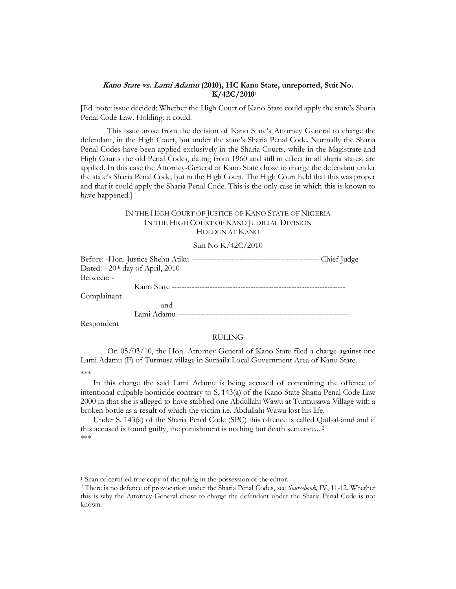## **Kano State vs. Lami Adamu (2010), HC Kano State, unreported, Suit No. K/42C/2010**<sup>1</sup>

[Ed. note: issue decided: Whether the High Court of Kano State could apply the state's Sharia Penal Code Law. Holding: it could.

This issue arose from the decision of Kano State's Attorney General to charge the defendant, in the High Court, but under the state's Sharia Penal Code. Normally the Sharia Penal Codes have been applied exclusively in the Sharia Courts, while in the Magistrate and High Courts the old Penal Codes, dating from 1960 and still in effect in all sharia states, are applied. In this case the Attorney-General of Kano State chose to charge the defendant under the state's Sharia Penal Code, but in the High Court. The High Court held that this was proper and that it could apply the Sharia Penal Code. This is the only case in which this is known to have happened.]

## IN THE HIGH COURT OF JUSTICE OF KANO STATE OF NIGERIA IN THE HIGH COURT OF KANO JUDICIAL DIVISION HOLDEN AT KANO

## Suit No K/42C/2010

| Dated: $-20th$ day of April, 2010 |  |
|-----------------------------------|--|
| Between: -                        |  |
|                                   |  |
| Complainant                       |  |
| and                               |  |
|                                   |  |

Respondent

## RULING

On 05/03/10, the Hon. Attorney General of Kano State filed a charge against one Lami Adamu (F) of Turmusa village in Sumaila Local Government Area of Kano State.

\*\*\*

 $\overline{a}$ 

In this charge the said Lami Adamu is being accused of committing the offence of intentional culpable homicide contrary to S. 143(a) of the Kano State Sharia Penal Code Law 2000 in that she is alleged to have stabbed one Abdullahi Wawu at Turmusawa Village with a broken bottle as a result of which the victim i.e. Abdullahi Wawu lost his life.

Under S. 143(a) of the Sharia Penal Code (SPC) this offence is called Qatl-al-amd and if this accused is found guilty, the punishment is nothing but death sentence....2 \*\*\*

<sup>1</sup> Scan of certified true copy of the ruling in the possession of the editor.

<sup>2</sup> There is no defence of provocation under the Sharia Penal Codes, see *Sourcebook,* IV, 11-12. Whether this is why the Attorney-General chose to charge the defendant under the Sharia Penal Code is not known.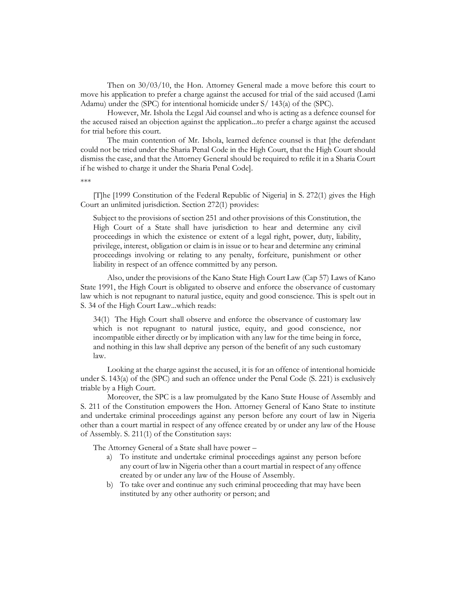Then on 30/03/10, the Hon. Attorney General made a move before this court to move his application to prefer a charge against the accused for trial of the said accused (Lami Adamu) under the (SPC) for intentional homicide under S/ 143(a) of the (SPC).

However, Mr. Ishola the Legal Aid counsel and who is acting as a defence counsel for the accused raised an objection against the application...to prefer a charge against the accused for trial before this court.

The main contention of Mr. Ishola, learned defence counsel is that [the defendant could not be tried under the Sharia Penal Code in the High Court, that the High Court should dismiss the case, and that the Attorney General should be required to refile it in a Sharia Court if he wished to charge it under the Sharia Penal Code].

\*\*\*

[T]he [1999 Constitution of the Federal Republic of Nigeria] in S. 272(1) gives the High Court an unlimited jurisdiction. Section 272(1) provides:

Subject to the provisions of section 251 and other provisions of this Constitution, the High Court of a State shall have jurisdiction to hear and determine any civil proceedings in which the existence or extent of a legal right, power, duty, liability, privilege, interest, obligation or claim is in issue or to hear and determine any criminal proceedings involving or relating to any penalty, forfeiture, punishment or other liability in respect of an offence committed by any person.

Also, under the provisions of the Kano State High Court Law (Cap 57) Laws of Kano State 1991, the High Court is obligated to observe and enforce the observance of customary law which is not repugnant to natural justice, equity and good conscience. This is spelt out in S. 34 of the High Court Law...which reads:

34(1) The High Court shall observe and enforce the observance of customary law which is not repugnant to natural justice, equity, and good conscience, nor incompatible either directly or by implication with any law for the time being in force, and nothing in this law shall deprive any person of the benefit of any such customary law.

Looking at the charge against the accused, it is for an offence of intentional homicide under S. 143(a) of the (SPC) and such an offence under the Penal Code (S. 221) is exclusively triable by a High Court.

Moreover, the SPC is a law promulgated by the Kano State House of Assembly and S. 211 of the Constitution empowers the Hon. Attorney General of Kano State to institute and undertake criminal proceedings against any person before any court of law in Nigeria other than a court martial in respect of any offence created by or under any law of the House of Assembly. S. 211(1) of the Constitution says:

The Attorney General of a State shall have power –

- a) To institute and undertake criminal proceedings against any person before any court of law in Nigeria other than a court martial in respect of any offence created by or under any law of the House of Assembly.
- b) To take over and continue any such criminal proceeding that may have been instituted by any other authority or person; and